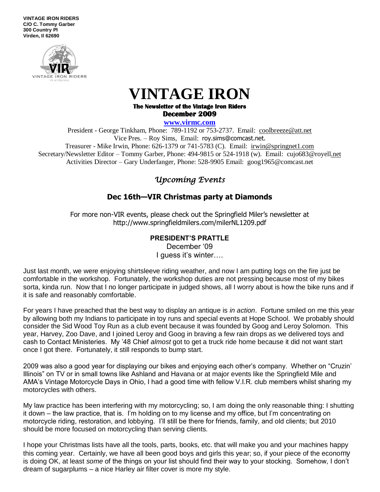**VINTAGE IRON RIDERS C/O C. Tommy Garber 300 Country Pl Virden, Il 62690**



# **VINTAGE IRON**

**The Newsletter of the Vintage Iron Riders December 2009** 

**www.virmc.com** 

President - George Tinkham, Phone: 789-1192 or 753-2737. Email: [coolbreeze@att.net](mailto:coolbreeze@att.net) Vice Pres. – Roy Sims, Email: [roy.sims@comcast.net.](mailto:roy.sims@comcast.net) Treasurer - Mike Irwin, Phone: 626-1379 or 741-5783 (C). Email: irwin@springnet1.com Secretary/Newsletter Editor – Tommy Garber, Phone: 494-9815 or 524-1918 (w). Email: cujo683@royell.net Activities Director – Gary Underfanger, Phone: 528-9905 Email: goog1965@comcast.net

# *Upcoming Events*

## **Dec 16th—VIR Christmas party at Diamonds**

For more non-VIR events, please check out the Springfield Miler's newsletter at http://www.springfieldmilers.com/milerNL1209.pdf

#### **PRESIDENT'S PRATTLE**

December '09 I guess it's winter….

Just last month, we were enjoying shirtsleeve riding weather, and now I am putting logs on the fire just be comfortable in the workshop. Fortunately, the workshop duties are not pressing because most of my bikes sorta, kinda run. Now that I no longer participate in judged shows, all I worry about is how the bike runs and if it is safe and reasonably comfortable.

For years I have preached that the best way to display an antique is *in action*. Fortune smiled on me this year by allowing both my Indians to participate in toy runs and special events at Hope School. We probably should consider the Sid Wood Toy Run as a club event because it was founded by Goog and Leroy Solomon. This year, Harvey, Zoo Dave, and I joined Leroy and Goog in braving a few rain drops as we delivered toys and cash to Contact Ministeries. My '48 Chief *almost* got to get a truck ride home because it did not want start once I got there. Fortunately, it still responds to bump start.

2009 was also a good year for displaying our bikes and enjoying each other's company. Whether on "Cruzin' Illinois" on TV or in small towns like Ashland and Havana or at major events like the Springfield Mile and AMA's Vintage Motorcycle Days in Ohio, I had a good time with fellow V.I.R. club members whilst sharing my motorcycles with others.

My law practice has been interfering with my motorcycling; so, I am doing the only reasonable thing: I shutting it down – the law practice, that is. I'm holding on to my license and my office, but I'm concentrating on motorcycle riding, restoration, and lobbying. I'll still be there for friends, family, and old clients; but 2010 should be more focused on motorcycling than serving clients.

I hope your Christmas lists have all the tools, parts, books, etc. that will make you and your machines happy this coming year. Certainly, we have all been good boys and girls this year; so, if your piece of the economy is doing OK, at least *some* of the things on your list should find their way to your stocking. Somehow, I don't dream of sugarplums – a nice Harley air filter cover is more my style.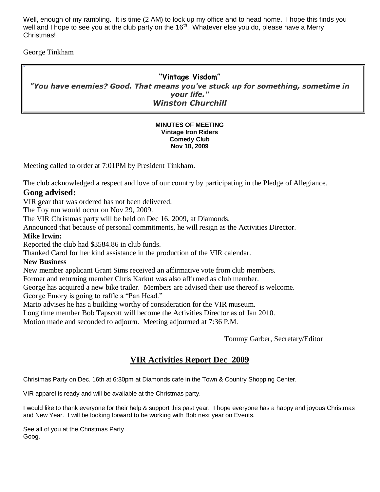Well, enough of my rambling. It is time (2 AM) to lock up my office and to head home. I hope this finds you well and I hope to see you at the club party on the  $16<sup>th</sup>$ . Whatever else you do, please have a Merry Christmas!

George Tinkham

"

### **"Vintage Visdom"** *"You have enemies? Good. That means you've stuck up for something, sometime in your life." Winston Churchill*

#### **MINUTES OF MEETING Vintage Iron Riders Comedy Club Nov 18, 2009**

Meeting called to order at 7:01PM by President Tinkham.

The club acknowledged a respect and love of our country by participating in the Pledge of Allegiance.

#### **Goog advised:**

VIR gear that was ordered has not been delivered.

The Toy run would occur on Nov 29, 2009.

The VIR Christmas party will be held on Dec 16, 2009, at Diamonds.

Announced that because of personal commitments, he will resign as the Activities Director.

#### **Mike Irwin:**

Reported the club had \$3584.86 in club funds.

Thanked Carol for her kind assistance in the production of the VIR calendar.

#### **New Business**

New member applicant Grant Sims received an affirmative vote from club members.

Former and returning member Chris Karkut was also affirmed as club member.

George has acquired a new bike trailer. Members are advised their use thereof is welcome. George Emory is going to raffle a "Pan Head."

Mario advises he has a building worthy of consideration for the VIR museum.

Long time member Bob Tapscott will become the Activities Director as of Jan 2010.

Motion made and seconded to adjourn. Meeting adjourned at 7:36 P.M.

Tommy Garber, Secretary/Editor

# **VIR Activities Report Dec 2009**

Christmas Party on Dec. 16th at 6:30pm at Diamonds cafe in the Town & Country Shopping Center.

VIR apparel is ready and will be available at the Christmas party.

I would like to thank everyone for their help & support this past year. I hope everyone has a happy and joyous Christmas and New Year. I will be looking forward to be working with Bob next year on Events.

See all of you at the Christmas Party. Goog.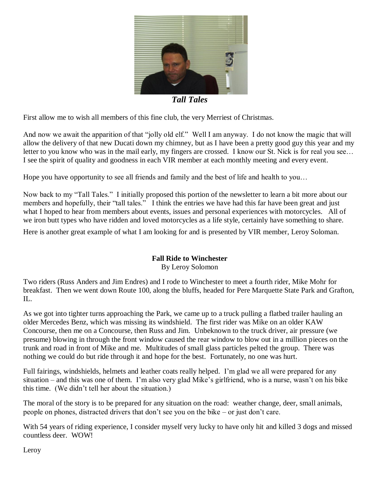

*Tall Tales*

First allow me to wish all members of this fine club, the very Merriest of Christmas.

And now we await the apparition of that "jolly old elf." Well I am anyway. I do not know the magic that will allow the delivery of that new Ducati down my chimney, but as I have been a pretty good guy this year and my letter to you know who was in the mail early, my fingers are crossed. I know our St. Nick is for real you see… I see the spirit of quality and goodness in each VIR member at each monthly meeting and every event.

Hope you have opportunity to see all friends and family and the best of life and health to you…

Now back to my "Tall Tales." I initially proposed this portion of the newsletter to learn a bit more about our members and hopefully, their "tall tales." I think the entries we have had this far have been great and just what I hoped to hear from members about events, issues and personal experiences with motorcycles. All of we iron butt types who have ridden and loved motorcycles as a life style, certainly have something to share.

Here is another great example of what I am looking for and is presented by VIR member, Leroy Soloman.

#### **Fall Ride to Winchester**

By Leroy Solomon

Two riders (Russ Anders and Jim Endres) and I rode to Winchester to meet a fourth rider, Mike Mohr for breakfast. Then we went down Route 100, along the bluffs, headed for Pere Marquette State Park and Grafton, IL.

As we got into tighter turns approaching the Park, we came up to a truck pulling a flatbed trailer hauling an older Mercedes Benz, which was missing its windshield. The first rider was Mike on an older KAW Concourse, then me on a Concourse, then Russ and Jim. Unbeknown to the truck driver, air pressure (we presume) blowing in through the front window caused the rear window to blow out in a million pieces on the trunk and road in front of Mike and me. Multitudes of small glass particles pelted the group. There was nothing we could do but ride through it and hope for the best. Fortunately, no one was hurt.

Full fairings, windshields, helmets and leather coats really helped. I'm glad we all were prepared for any situation – and this was one of them. I'm also very glad Mike's girlfriend, who is a nurse, wasn't on his bike this time. (We didn't tell her about the situation.)

The moral of the story is to be prepared for any situation on the road: weather change, deer, small animals, people on phones, distracted drivers that don't see you on the bike – or just don't care.

With 54 years of riding experience, I consider myself very lucky to have only hit and killed 3 dogs and missed countless deer. WOW!

Leroy